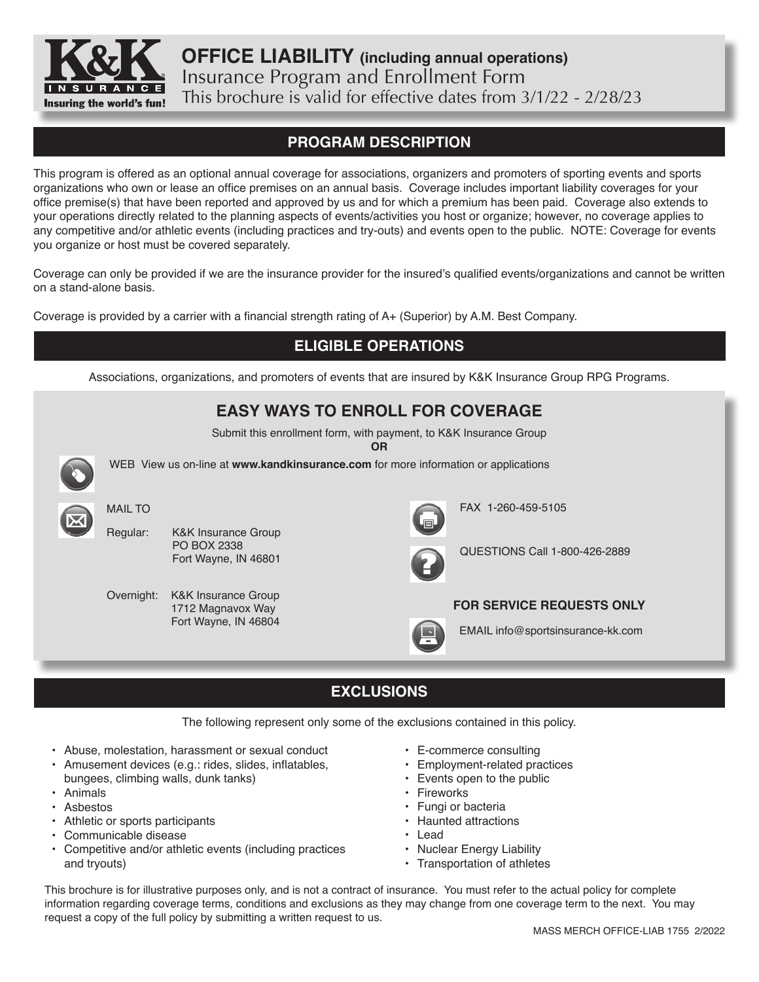

**OFFICE LIABILITY (including annual operations)** Insurance Program and Enrollment Form This brochure is valid for effective dates from 3/1/22 - 2/28/23

# **PROGRAM DESCRIPTION**

This program is offered as an optional annual coverage for associations, organizers and promoters of sporting events and sports organizations who own or lease an office premises on an annual basis. Coverage includes important liability coverages for your office premise(s) that have been reported and approved by us and for which a premium has been paid. Coverage also extends to your operations directly related to the planning aspects of events/activities you host or organize; however, no coverage applies to any competitive and/or athletic events (including practices and try-outs) and events open to the public. NOTE: Coverage for events you organize or host must be covered separately.

Coverage can only be provided if we are the insurance provider for the insured's qualified events/organizations and cannot be written on a stand-alone basis.

Coverage is provided by a carrier with a financial strength rating of A+ (Superior) by A.M. Best Company.

# **ELIGIBLE OPERATIONS** Associations, organizations, and promoters of events that are insured by K&K Insurance Group RPG Programs. **EASY WAYS TO ENROLL FOR COVERAGE** Submit this enrollment form, with payment, to K&K Insurance Group **OR** WEB View us on-line at **www.kandkinsurance.com** for more information or applications Regular: K&K Insurance Group PO BOX 2338 Fort Wayne, IN 46801 MAIL TO Overnight: K&K Insurance Group 1712 Magnavox Way Fort Wayne, IN 46804 FAX 1-260-459-5105 EMAIL info@sportsinsurance-kk.com QUESTIONS Call 1-800-426-2889 **FOR SERVICE REQUESTS ONLY**

# **EXCLUSIONS**

The following represent only some of the exclusions contained in this policy.

- Abuse, molestation, harassment or sexual conduct
- Amusement devices (e.g.: rides, slides, inflatables, bungees, climbing walls, dunk tanks)
- Animals
- Asbestos
- Athletic or sports participants
- Communicable disease
- Competitive and/or athletic events (including practices and tryouts)
- E-commerce consulting
- Employment-related practices
- Events open to the public
- Fireworks
- Fungi or bacteria
- Haunted attractions
- Lead
- Nuclear Energy Liability
- Transportation of athletes

This brochure is for illustrative purposes only, and is not a contract of insurance. You must refer to the actual policy for complete information regarding coverage terms, conditions and exclusions as they may change from one coverage term to the next. You may request a copy of the full policy by submitting a written request to us.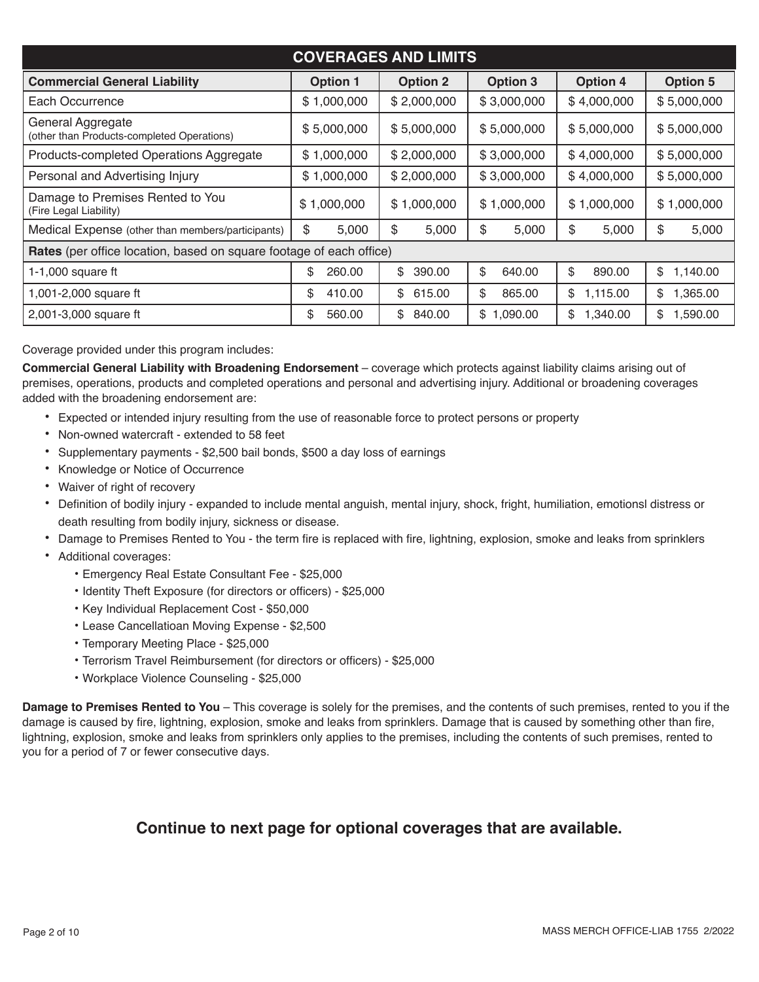| <b>COVERAGES AND LIMITS</b>                                                                                                        |                            |              |                |                |                |  |  |  |
|------------------------------------------------------------------------------------------------------------------------------------|----------------------------|--------------|----------------|----------------|----------------|--|--|--|
| <b>Option 5</b><br><b>Commercial General Liability</b><br><b>Option 3</b><br><b>Option 4</b><br><b>Option 1</b><br><b>Option 2</b> |                            |              |                |                |                |  |  |  |
| Each Occurrence                                                                                                                    | \$1,000,000                | \$2,000,000  | \$3,000,000    | \$4,000,000    | \$5,000,000    |  |  |  |
| General Aggregate<br>(other than Products-completed Operations)                                                                    | \$5,000,000<br>\$5,000,000 |              | \$5,000,000    | \$5,000,000    | \$5,000,000    |  |  |  |
| Products-completed Operations Aggregate                                                                                            | \$1,000,000                | \$2,000,000  | \$3,000,000    | \$4,000,000    | \$5,000,000    |  |  |  |
| Personal and Advertising Injury                                                                                                    | \$1,000,000                | \$2,000,000  | \$3,000,000    | \$4,000,000    | \$5,000,000    |  |  |  |
| Damage to Premises Rented to You<br>(Fire Legal Liability)                                                                         | \$1,000,000                | \$1,000,000  | \$1,000,000    | \$1,000,000    | \$1,000,000    |  |  |  |
| Medical Expense (other than members/participants)                                                                                  | \$<br>5,000                | \$<br>5,000  | \$<br>5,000    | \$<br>5,000    | \$<br>5,000    |  |  |  |
| Rates (per office location, based on square footage of each office)                                                                |                            |              |                |                |                |  |  |  |
| 1-1,000 square ft                                                                                                                  | \$<br>260.00               | \$<br>390.00 | \$<br>640.00   | \$<br>890.00   | \$<br>1,140.00 |  |  |  |
| 1,001-2,000 square ft                                                                                                              | \$<br>410.00               | \$<br>615.00 | \$<br>865.00   | \$<br>1,115.00 | 1,365.00<br>\$ |  |  |  |
| 2,001-3,000 square ft                                                                                                              | \$<br>560.00               | 840.00<br>\$ | 1,090.00<br>\$ | 1,340.00<br>\$ | 1,590.00<br>\$ |  |  |  |

Coverage provided under this program includes:

**Commercial General Liability with Broadening Endorsement** – coverage which protects against liability claims arising out of premises, operations, products and completed operations and personal and advertising injury. Additional or broadening coverages added with the broadening endorsement are:

- Expected or intended injury resulting from the use of reasonable force to protect persons or property
- Non-owned watercraft extended to 58 feet
- Supplementary payments \$2,500 bail bonds, \$500 a day loss of earnings
- Knowledge or Notice of Occurrence
- Waiver of right of recovery
- Definition of bodily injury expanded to include mental anguish, mental injury, shock, fright, humiliation, emotionsl distress or death resulting from bodily injury, sickness or disease.
- Damage to Premises Rented to You the term fire is replaced with fire, lightning, explosion, smoke and leaks from sprinklers
- Additional coverages:
	- Emergency Real Estate Consultant Fee \$25,000
	- Identity Theft Exposure (for directors or officers) \$25,000
	- Key Individual Replacement Cost \$50,000
	- Lease Cancellatioan Moving Expense \$2,500
	- Temporary Meeting Place \$25,000
	- Terrorism Travel Reimbursement (for directors or officers) \$25,000
	- Workplace Violence Counseling \$25,000

**Damage to Premises Rented to You** – This coverage is solely for the premises, and the contents of such premises, rented to you if the damage is caused by fire, lightning, explosion, smoke and leaks from sprinklers. Damage that is caused by something other than fire, lightning, explosion, smoke and leaks from sprinklers only applies to the premises, including the contents of such premises, rented to you for a period of 7 or fewer consecutive days.

## **Continue to next page for optional coverages that are available.**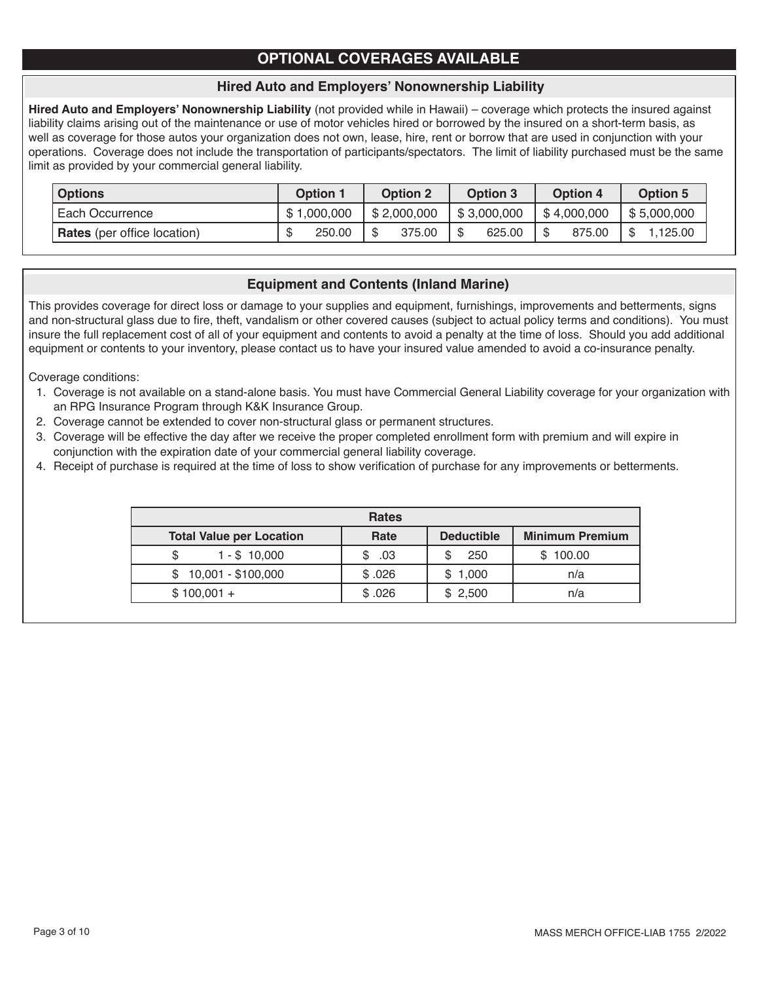# **OPTIONAL COVERAGES AVAILABLE**

## **Hired Auto and Employers' Nonownership Liability**

**Hired Auto and Employers' Nonownership Liability** (not provided while in Hawaii) – coverage which protects the insured against liability claims arising out of the maintenance or use of motor vehicles hired or borrowed by the insured on a short-term basis, as well as coverage for those autos your organization does not own, lease, hire, rent or borrow that are used in conjunction with your operations. Coverage does not include the transportation of participants/spectators. The limit of liability purchased must be the same limit as provided by your commercial general liability.

| <b>Options</b>                     | <b>Option 1</b> | <b>Option 2</b> | Option 3       | Option 4     | <b>Option 5</b> |
|------------------------------------|-----------------|-----------------|----------------|--------------|-----------------|
| Each Occurrence                    | \$1,000,000     | \$2,000,000     | \$3,000,000    | \$4,000,000  | \$5,000,000     |
| <b>Rates</b> (per office location) | 250.00          | 375.00          | - \$<br>625.00 | \$<br>875.00 | \$<br>.125.00   |

## **Equipment and Contents (Inland Marine)**

This provides coverage for direct loss or damage to your supplies and equipment, furnishings, improvements and betterments, signs and non-structural glass due to fire, theft, vandalism or other covered causes (subject to actual policy terms and conditions). You must insure the full replacement cost of all of your equipment and contents to avoid a penalty at the time of loss. Should you add additional equipment or contents to your inventory, please contact us to have your insured value amended to avoid a co-insurance penalty.

Coverage conditions:

- 1. Coverage is not available on a stand-alone basis. You must have Commercial General Liability coverage for your organization with an RPG Insurance Program through K&K Insurance Group.
- 2. Coverage cannot be extended to cover non-structural glass or permanent structures.
- 3. Coverage will be effective the day after we receive the proper completed enrollment form with premium and will expire in conjunction with the expiration date of your commercial general liability coverage.
- 4. Receipt of purchase is required at the time of loss to show verification of purchase for any improvements or betterments.

| <b>Rates</b>                    |          |                   |                        |  |  |
|---------------------------------|----------|-------------------|------------------------|--|--|
| <b>Total Value per Location</b> | Rate     | <b>Deductible</b> | <b>Minimum Premium</b> |  |  |
| $1 - $10,000$<br>\$             | .03<br>S | 250<br>S          | \$100.00               |  |  |
| 10,001 - \$100,000<br>S         | \$.026   | \$1,000           | n/a                    |  |  |
| $$100,001 +$                    | \$.026   | \$2,500           | n/a                    |  |  |
|                                 |          |                   |                        |  |  |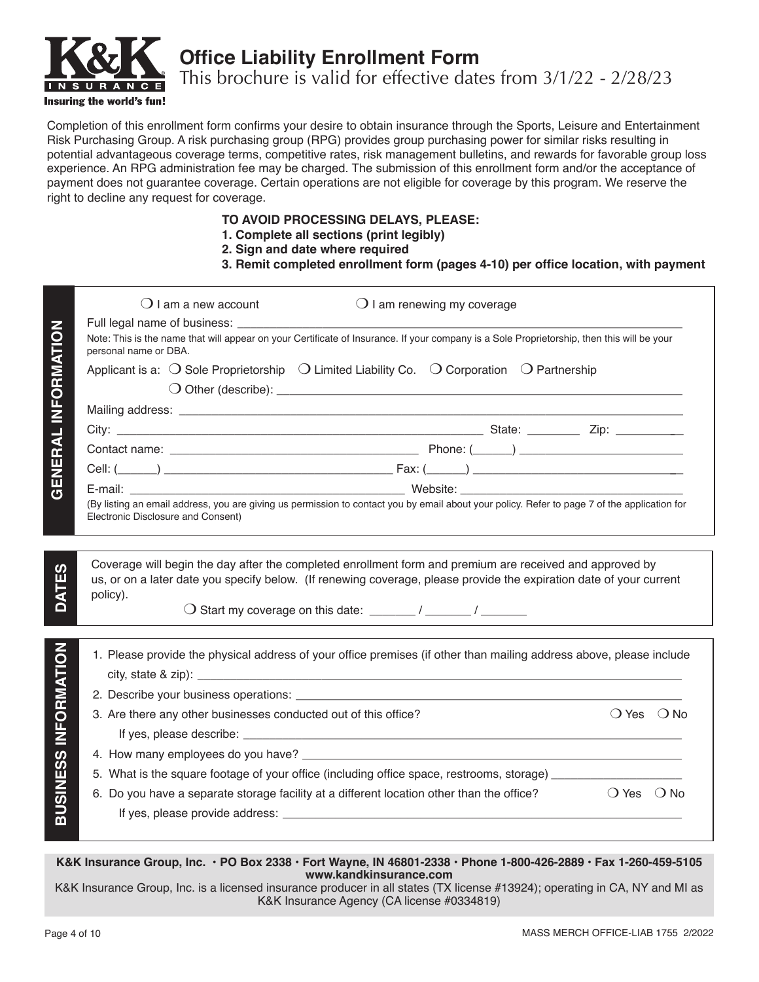

**Office Liability Enrollment Form**

This brochure is valid for effective dates from 3/1/22 - 2/28/23

Completion of this enrollment form confirms your desire to obtain insurance through the Sports, Leisure and Entertainment Risk Purchasing Group. A risk purchasing group (RPG) provides group purchasing power for similar risks resulting in potential advantageous coverage terms, competitive rates, risk management bulletins, and rewards for favorable group loss experience. An RPG administration fee may be charged. The submission of this enrollment form and/or the acceptance of payment does not guarantee coverage. Certain operations are not eligible for coverage by this program. We reserve the right to decline any request for coverage.

### **TO AVOID PROCESSING DELAYS, PLEASE:**

- **1. Complete all sections (print legibly)**
- **2. Sign and date where required**
- **3. Remit completed enrollment form (pages 4-10) per office location, with payment**

|                            | $()$ I am a new account<br>$\bigcirc$ I am renewing my coverage                                                                                                                                                                |
|----------------------------|--------------------------------------------------------------------------------------------------------------------------------------------------------------------------------------------------------------------------------|
|                            |                                                                                                                                                                                                                                |
| <b>GENERAL INFORMATION</b> | Note: This is the name that will appear on your Certificate of Insurance. If your company is a Sole Proprietorship, then this will be your<br>personal name or DBA.                                                            |
|                            | Applicant is a: $\bigcirc$ Sole Proprietorship $\bigcirc$ Limited Liability Co. $\bigcirc$ Corporation $\bigcirc$ Partnership                                                                                                  |
|                            |                                                                                                                                                                                                                                |
|                            |                                                                                                                                                                                                                                |
|                            |                                                                                                                                                                                                                                |
|                            |                                                                                                                                                                                                                                |
|                            |                                                                                                                                                                                                                                |
|                            |                                                                                                                                                                                                                                |
|                            | (By listing an email address, you are giving us permission to contact you by email about your policy. Refer to page 7 of the application for<br>Electronic Disclosure and Consent)                                             |
|                            |                                                                                                                                                                                                                                |
|                            |                                                                                                                                                                                                                                |
| ທ                          | Coverage will begin the day after the completed enrollment form and premium are received and approved by                                                                                                                       |
| <b>DATES</b>               | us, or on a later date you specify below. (If renewing coverage, please provide the expiration date of your current<br>policy).                                                                                                |
|                            |                                                                                                                                                                                                                                |
|                            |                                                                                                                                                                                                                                |
|                            | 1. Please provide the physical address of your office premises (if other than mailing address above, please include                                                                                                            |
| INFORMATION                |                                                                                                                                                                                                                                |
|                            | 2. Describe your business operations: example and contact the control of the control of the control of the control of the control of the control of the control of the control of the control of the control of the control of |
|                            | $O$ Yes $O$ No<br>3. Are there any other businesses conducted out of this office?                                                                                                                                              |
|                            |                                                                                                                                                                                                                                |
|                            |                                                                                                                                                                                                                                |
|                            | 5. What is the square footage of your office (including office space, restrooms, storage) ________________                                                                                                                     |
|                            | $\bigcirc$ Yes $\bigcirc$ No<br>6. Do you have a separate storage facility at a different location other than the office?                                                                                                      |
| <b>BUSINESS</b>            |                                                                                                                                                                                                                                |
|                            |                                                                                                                                                                                                                                |
|                            |                                                                                                                                                                                                                                |

**K&K Insurance Group, Inc. • PO Box 2338 • Fort Wayne, IN 46801-2338 • Phone 1-800-426-2889 • Fax 1-260-459-5105 www.kandkinsurance.com**

K&K Insurance Group, Inc. is a licensed insurance producer in all states (TX license #13924); operating in CA, NY and MI as K&K Insurance Agency (CA license #0334819)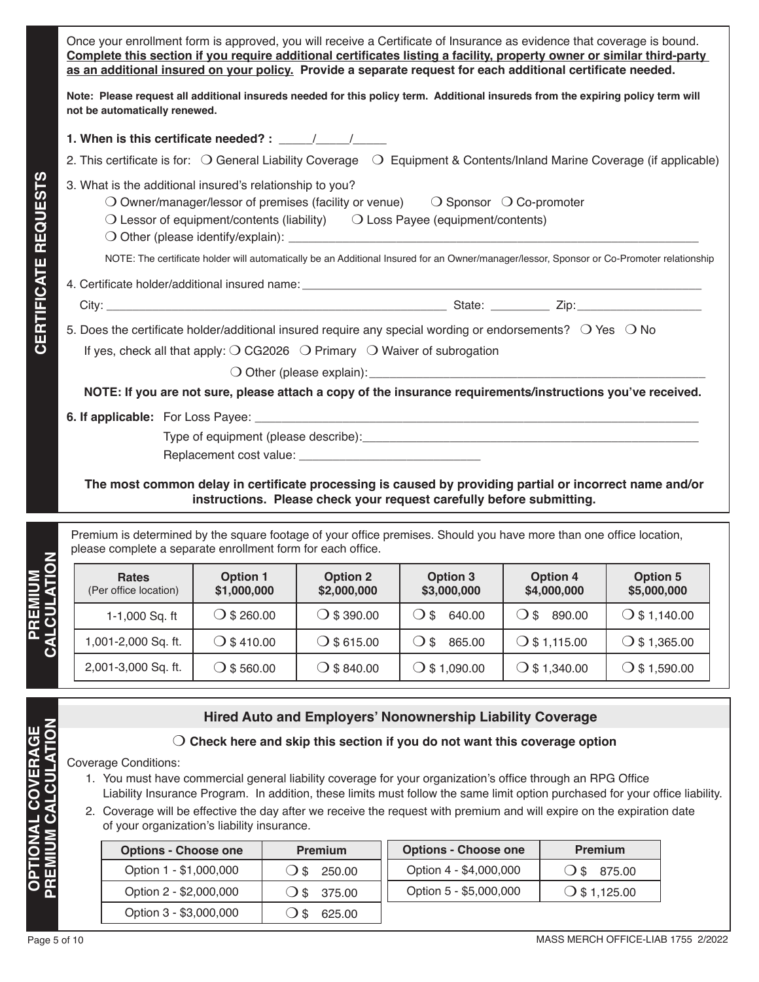Once your enrollment form is approved, you will receive a Certificate of Insurance as evidence that coverage is bound. **Complete this section if you require additional certificates listing a facility, property owner or similar third-party as an additional insured on your policy. Provide a separate request for each additional certificate needed.** 

**Note: Please request all additional insureds needed for this policy term. Additional insureds from the expiring policy term will not be automatically renewed.** 

**1. When is this certificate needed? : \_\_\_\_\_/\_\_\_\_\_\_/** 

- 2. This certificate is for:  $\bigcirc$  General Liability Coverage  $\bigcirc$  Equipment & Contents/Inland Marine Coverage (if applicable)
- 3. What is the additional insured's relationship to you?
	- O Owner/manager/lessor of premises (facility or venue)  $\Box$  Sponsor  $\Box$  Co-promoter
	- $\bigcirc$  Lessor of equipment/contents (liability)  $\bigcirc$  Loss Payee (equipment/contents)
	- $\bigcirc$  Other (please identify/explain):

NOTE: The certificate holder will automatically be an Additional Insured for an Owner/manager/lessor, Sponsor or Co-Promoter relationship

- 4. Certificate holder/additional insured name:
	- City: \_\_\_\_\_\_\_\_\_\_\_\_\_\_\_\_\_\_\_\_\_\_\_\_\_\_\_\_\_\_\_\_\_\_\_\_\_\_\_\_\_\_\_\_\_\_\_\_\_\_\_\_ State: \_\_\_\_\_\_\_\_\_ Zip:\_\_\_\_\_\_\_\_\_\_\_\_\_\_\_\_\_\_\_

**CERTIFICATE REQUESTS**

**CERTIFICATE REQUESTS** 

5. Does the certificate holder/additional insured require any special wording or endorsements?  $\circ$  Yes  $\circ$  No

If yes, check all that apply:  $\bigcirc$  CG2026  $\bigcirc$  Primary  $\bigcirc$  Waiver of subrogation

 $\bigcirc$  Other (please explain):

**NOTE: If you are not sure, please attach a copy of the insurance requirements/instructions you've received.**

**6. If applicable:** For Loss Payee:

Type of equipment (please describe):\_\_\_\_\_\_\_\_\_\_\_\_\_\_\_\_\_\_\_\_\_\_\_\_\_\_\_\_\_\_\_\_\_\_\_\_\_\_\_\_\_\_\_\_\_\_\_\_\_\_

Replacement cost value:

**The most common delay in certificate processing is caused by providing partial or incorrect name and/or instructions. Please check your request carefully before submitting.**

Premium is determined by the square footage of your office premises. Should you have more than one office location, please complete a separate enrollment form for each office.

| <b>Rates</b><br>(Per office location) | <b>Option 1</b><br>\$1,000,000 | <b>Option 2</b><br>\$2,000,000 | Option 3<br>\$3,000,000 | <b>Option 4</b><br>\$4,000,000 | Option 5<br>\$5,000,000 |
|---------------------------------------|--------------------------------|--------------------------------|-------------------------|--------------------------------|-------------------------|
| 1-1,000 Sq. ft                        | $\bigcirc$ \$ 260.00           | $\bigcirc$ \$ 390.00           | 640.00<br>$\lambda$ s   | 890.00<br>$\lambda$ s          | $\bigcirc$ \$ 1,140.00  |
| 1,001-2,000 Sq. ft.                   | $\bigcirc$ \$ 410.00           | $\bigcirc$ \$ 615.00           | 865.00<br>.) \$         | $\bigcirc$ \$ 1,115.00         | $\bigcirc$ \$ 1,365.00  |
| 2,001-3,000 Sq. ft.                   | $\bigcirc$ \$ 560.00           | $\bigcirc$ \$ 840.00           | 0.090(1)                | $\bigcirc$ \$ 1,340.00         | $\bigcirc$ \$ 1,590.00  |

## **Hired Auto and Employers' Nonownership Liability Coverage**

### m **Check here and skip this section if you do not want this coverage option**

Coverage Conditions:

- 1. You must have commercial general liability coverage for your organization's office through an RPG Office Liability Insurance Program. In addition, these limits must follow the same limit option purchased for your office liability.
- 2. Coverage will be effective the day after we receive the request with premium and will expire on the expiration date of your organization's liability insurance.

| <b>Options - Choose one</b> | <b>Premium</b>                     | <b>Options - Choose one</b> | <b>Premium</b>         |
|-----------------------------|------------------------------------|-----------------------------|------------------------|
| Option 1 - \$1,000,000      | 250.00<br>() \$                    | Option 4 - \$4,000,000      | 875.00<br>$($ ) \$     |
| Option 2 - \$2,000,000      | $\bigcirc$ \$ 375.00               | Option 5 - \$5,000,000      | $\bigcirc$ \$ 1,125.00 |
| Option 3 - \$3,000,000      | 625.00<br>$\overline{\phantom{a}}$ |                             |                        |

**PREMIUM CALCULATION**

**PREMIUM CALCULATION**

**NOI**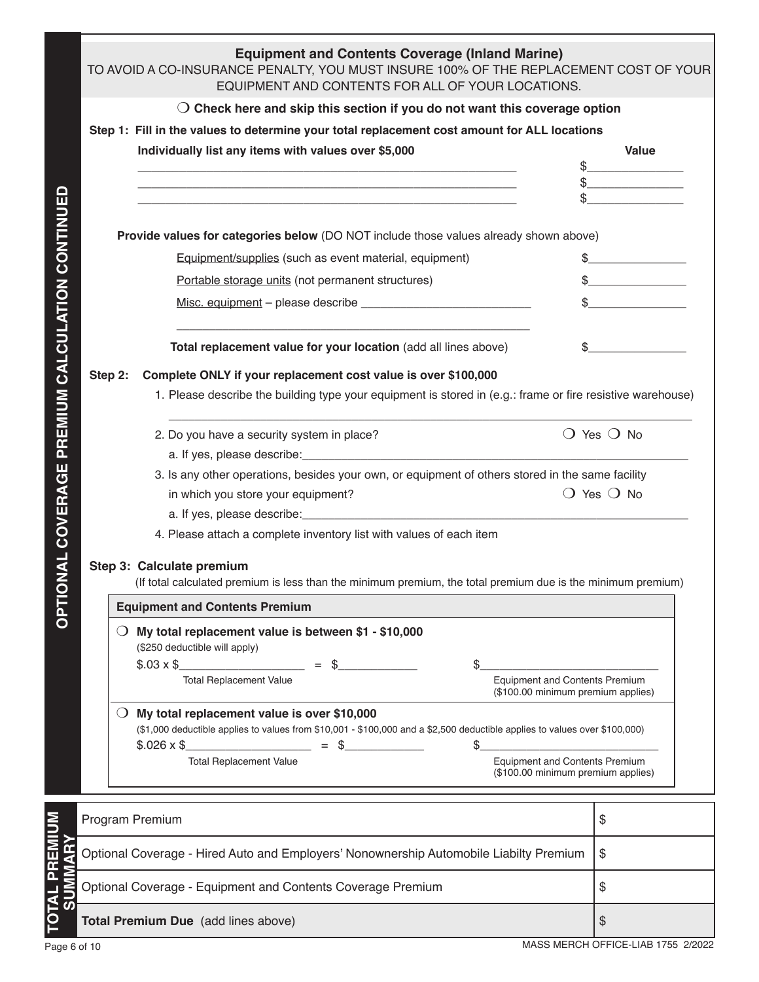|                               | <b>Equipment and Contents Coverage (Inland Marine)</b><br>TO AVOID A CO-INSURANCE PENALTY, YOU MUST INSURE 100% OF THE REPLACEMENT COST OF YOUR<br>EQUIPMENT AND CONTENTS FOR ALL OF YOUR LOCATIONS. |         |                                                                                                                                                                                                                                                                                                         |                                    |  |  |  |  |
|-------------------------------|------------------------------------------------------------------------------------------------------------------------------------------------------------------------------------------------------|---------|---------------------------------------------------------------------------------------------------------------------------------------------------------------------------------------------------------------------------------------------------------------------------------------------------------|------------------------------------|--|--|--|--|
|                               |                                                                                                                                                                                                      |         | $\bigcirc$ Check here and skip this section if you do not want this coverage option                                                                                                                                                                                                                     |                                    |  |  |  |  |
|                               |                                                                                                                                                                                                      |         | Step 1: Fill in the values to determine your total replacement cost amount for ALL locations                                                                                                                                                                                                            |                                    |  |  |  |  |
|                               |                                                                                                                                                                                                      |         | Individually list any items with values over \$5,000<br><u> 1989 - Johann John Stone, mars and de forme de la provincia de la provincia de la provincia de la provincia d</u><br><u> 1980 - Johann Barn, mars ann an t-Amhain ann an t-Amhain an t-Amhain an t-Amhain an t-Amhain an t-Amhain an t-</u> | Value                              |  |  |  |  |
|                               |                                                                                                                                                                                                      |         | Provide values for categories below (DO NOT include those values already shown above)                                                                                                                                                                                                                   |                                    |  |  |  |  |
|                               |                                                                                                                                                                                                      |         | Equipment/supplies (such as event material, equipment)                                                                                                                                                                                                                                                  | $\sim$ $\sim$                      |  |  |  |  |
|                               |                                                                                                                                                                                                      |         | Portable storage units (not permanent structures)                                                                                                                                                                                                                                                       | $\frac{1}{2}$                      |  |  |  |  |
|                               |                                                                                                                                                                                                      |         |                                                                                                                                                                                                                                                                                                         | $\sim$                             |  |  |  |  |
|                               |                                                                                                                                                                                                      |         | Total replacement value for your location (add all lines above)<br>S.                                                                                                                                                                                                                                   |                                    |  |  |  |  |
| PREMIUM CALCULATION CONTINUEI |                                                                                                                                                                                                      | Step 2: | Complete ONLY if your replacement cost value is over \$100,000<br>1. Please describe the building type your equipment is stored in (e.g.: frame or fire resistive warehouse)                                                                                                                            |                                    |  |  |  |  |
|                               |                                                                                                                                                                                                      |         | 2. Do you have a security system in place?                                                                                                                                                                                                                                                              | $\bigcirc$ Yes $\bigcirc$ No       |  |  |  |  |
|                               |                                                                                                                                                                                                      |         | 3. Is any other operations, besides your own, or equipment of others stored in the same facility                                                                                                                                                                                                        |                                    |  |  |  |  |
|                               |                                                                                                                                                                                                      |         | in which you store your equipment?                                                                                                                                                                                                                                                                      | $\bigcirc$ Yes $\bigcirc$ No       |  |  |  |  |
|                               |                                                                                                                                                                                                      |         |                                                                                                                                                                                                                                                                                                         |                                    |  |  |  |  |
|                               |                                                                                                                                                                                                      |         | 4. Please attach a complete inventory list with values of each item                                                                                                                                                                                                                                     |                                    |  |  |  |  |
| <b>ONAL COVERAGE</b>          |                                                                                                                                                                                                      |         | Step 3: Calculate premium<br>(If total calculated premium is less than the minimum premium, the total premium due is the minimum premium)                                                                                                                                                               |                                    |  |  |  |  |
|                               |                                                                                                                                                                                                      |         |                                                                                                                                                                                                                                                                                                         |                                    |  |  |  |  |
|                               |                                                                                                                                                                                                      |         | <b>Equipment and Contents Premium</b>                                                                                                                                                                                                                                                                   |                                    |  |  |  |  |
|                               |                                                                                                                                                                                                      | $\cup$  | My total replacement value is between \$1 - \$10,000<br>(\$250 deductible will apply)                                                                                                                                                                                                                   |                                    |  |  |  |  |
|                               |                                                                                                                                                                                                      |         | <u> 1990 - Johann Barbara, politik eta politik eta politik eta politik eta politik eta politik eta politik eta p</u><br>$$.03 \times $$<br>$=$ \$<br>\$                                                                                                                                                 |                                    |  |  |  |  |
|                               |                                                                                                                                                                                                      |         | <b>Total Replacement Value</b><br><b>Equipment and Contents Premium</b><br>(\$100.00 minimum premium applies)                                                                                                                                                                                           |                                    |  |  |  |  |
|                               |                                                                                                                                                                                                      | $\cup$  | My total replacement value is over \$10,000<br>(\$1,000 deductible applies to values from \$10,001 - \$100,000 and a \$2,500 deductible applies to values over \$100,000)<br>$$.026 \times $$<br>$=$ \$<br>\$                                                                                           |                                    |  |  |  |  |
|                               |                                                                                                                                                                                                      |         | <b>Total Replacement Value</b><br>Equipment and Contents Premium<br>(\$100.00 minimum premium applies)                                                                                                                                                                                                  |                                    |  |  |  |  |
|                               |                                                                                                                                                                                                      |         | Program Premium                                                                                                                                                                                                                                                                                         | \$                                 |  |  |  |  |
| PREMIUM                       |                                                                                                                                                                                                      |         | Optional Coverage - Hired Auto and Employers' Nonownership Automobile Liabilty Premium                                                                                                                                                                                                                  | \$                                 |  |  |  |  |
| <b>LATO</b>                   |                                                                                                                                                                                                      |         | Optional Coverage - Equipment and Contents Coverage Premium                                                                                                                                                                                                                                             | \$                                 |  |  |  |  |
|                               |                                                                                                                                                                                                      |         | Total Premium Due (add lines above)                                                                                                                                                                                                                                                                     | \$                                 |  |  |  |  |
| Page 6 of 10                  |                                                                                                                                                                                                      |         |                                                                                                                                                                                                                                                                                                         | MASS MERCH OFFICE-LIAB 1755 2/2022 |  |  |  |  |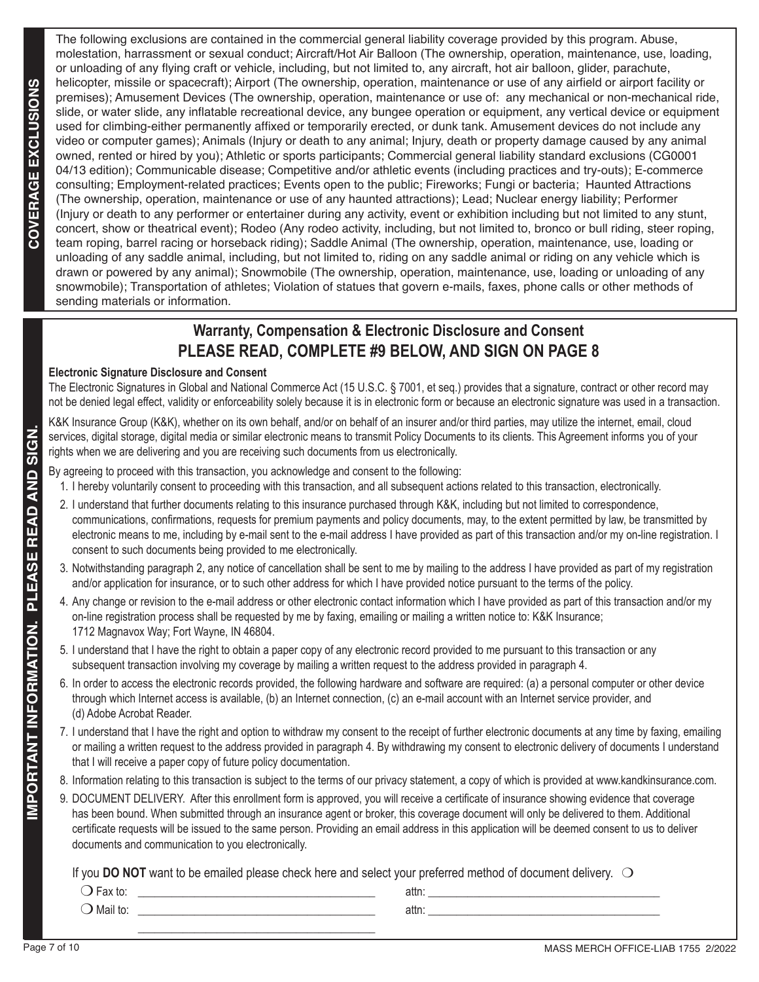The following exclusions are contained in the commercial general liability coverage provided by this program. Abuse, molestation, harrassment or sexual conduct; Aircraft/Hot Air Balloon (The ownership, operation, maintenance, use, loading, or unloading of any flying craft or vehicle, including, but not limited to, any aircraft, hot air balloon, glider, parachute, helicopter, missile or spacecraft); Airport (The ownership, operation, maintenance or use of any airfield or airport facility or premises); Amusement Devices (The ownership, operation, maintenance or use of: any mechanical or non-mechanical ride, slide, or water slide, any inflatable recreational device, any bungee operation or equipment, any vertical device or equipment used for climbing-either permanently affixed or temporarily erected, or dunk tank. Amusement devices do not include any video or computer games); Animals (Injury or death to any animal; Injury, death or property damage caused by any animal owned, rented or hired by you); Athletic or sports participants; Commercial general liability standard exclusions (CG0001 04/13 edition); Communicable disease; Competitive and/or athletic events (including practices and try-outs); E-commerce consulting; Employment-related practices; Events open to the public; Fireworks; Fungi or bacteria; Haunted Attractions (The ownership, operation, maintenance or use of any haunted attractions); Lead; Nuclear energy liability; Performer (Injury or death to any performer or entertainer during any activity, event or exhibition including but not limited to any stunt, concert, show or theatrical event); Rodeo (Any rodeo activity, including, but not limited to, bronco or bull riding, steer roping, team roping, barrel racing or horseback riding); Saddle Animal (The ownership, operation, maintenance, use, loading or unloading of any saddle animal, including, but not limited to, riding on any saddle animal or riding on any vehicle which is drawn or powered by any animal); Snowmobile (The ownership, operation, maintenance, use, loading or unloading of any snowmobile); Transportation of athletes; Violation of statues that govern e-mails, faxes, phone calls or other methods of sending materials or information.

# **Warranty, Compensation & Electronic Disclosure and Consent PLEASE READ, COMPLETE #9 BELOW, AND SIGN ON PAGE 8**

### **Electronic Signature Disclosure and Consent**

The Electronic Signatures in Global and National Commerce Act (15 U.S.C. § 7001, et seq.) provides that a signature, contract or other record may not be denied legal effect, validity or enforceability solely because it is in electronic form or because an electronic signature was used in a transaction.

K&K Insurance Group (K&K), whether on its own behalf, and/or on behalf of an insurer and/or third parties, may utilize the internet, email, cloud services, digital storage, digital media or similar electronic means to transmit Policy Documents to its clients. This Agreement informs you of your rights when we are delivering and you are receiving such documents from us electronically.

By agreeing to proceed with this transaction, you acknowledge and consent to the following:

- 1. I hereby voluntarily consent to proceeding with this transaction, and all subsequent actions related to this transaction, electronically .
- 2. I understand that further documents relating to this insurance purchased through K&K, including but not limited to correspondence, communications, confirmations, requests for premium payments and policy documents, may, to the extent permitted by law, be transmitted by electronic means to me, including by e-mail sent to the e-mail address I have provided as part of this transaction and/or my on-line registration. I consent to such documents being provided to me electronically.
- 3. Notwithstanding paragraph 2, any notice of cancellation shall be sent to me by mailing to the address I have provided as part of my registration and/or application for insurance, or to such other address for which I have provided notice pursuant to the terms of the policy.
- 4. Any change or revision to the e-mail address or other electronic contact information which I have provided as part of this transaction and/or my on-line registration process shall be requested by me by faxing, emailing or mailing a written notice to: K&K Insurance; 1712 Magnavox Way; Fort Wayne, IN 46804.
	- 5. I understand that I have the right to obtain a paper copy of any electronic record provided to me pursuant to this transaction or any subsequent transaction involving my coverage by mailing a written request to the address provided in paragraph 4.
	- 6. In order to access the electronic records provided, the following hardware and software are required: (a) a personal computer or other device through which Internet access is available, (b) an Internet connection, (c) an e-mail account with an Internet service provider, and (d) Adobe Acrobat Reader.
- 7. I understand that I have the right and option to withdraw my consent to the receipt of further electronic documents at any time by faxing, emailing or mailing a written request to the address provided in paragraph 4. By withdrawing my consent to electronic delivery of documents I understand that I will receive a paper copy of future policy documentation.
	- 8. Information relating to this transaction is subject to the terms of our privacy statement, a copy of which is provided at www.kandkinsurance.com.
	- 9. DOCUMENT DELIVERY. After this enrollment form is approved, you will receive a certificate of insurance showing evidence that coverage has been bound. When submitted through an insurance agent or broker, this coverage document will only be delivered to them. Additional certificate requests will be issued to the same person. Providing an email address in this application will be deemed consent to us to deliver documents and communication to you electronically.

If you DO NOT want to be emailed please check here and select your preferred method of document delivery. O

| attn: |  |
|-------|--|
| attn: |  |
|       |  |
|       |  |

ັທ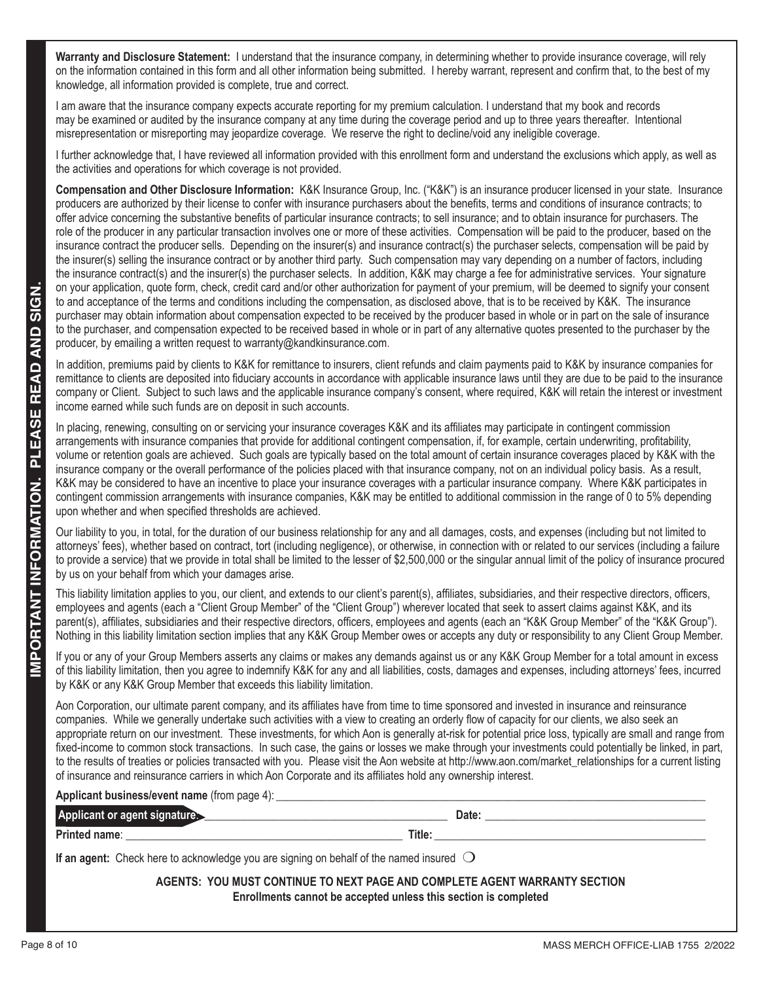**Warranty and Disclosure Statement:** I understand that the insurance company, in determining whether to provide insurance coverage, will rely on the information contained in this form and all other information being submitted. I hereby warrant, represent and confirm that, to the best of my knowledge, all information provided is complete, true and correct.

I am aware that the insurance company expects accurate reporting for my premium calculation. I understand that my book and records may be examined or audited by the insurance company at any time during the coverage period and up to three years thereafter. Intentional misrepresentation or misreporting may jeopardize coverage. We reserve the right to decline/void any ineligible coverage.

I further acknowledge that, I have reviewed all information provided with this enrollment form and understand the exclusions which apply, as well as the activities and operations for which coverage is not provided.

**Compensation and Other Disclosure Information:** K&K Insurance Group, Inc. ("K&K") is an insurance producer licensed in your state. Insurance producers are authorized by their license to confer with insurance purchasers about the benefits, terms and conditions of insurance contracts; to offer advice concerning the substantive benefits of particular insurance contracts; to sell insurance; and to obtain insurance for purchasers. The role of the producer in any particular transaction involves one or more of these activities. Compensation will be paid to the producer, based on the insurance contract the producer sells. Depending on the insurer(s) and insurance contract(s) the purchaser selects, compensation will be paid by the insurer(s) selling the insurance contract or by another third party. Such compensation may vary depending on a number of factors, including the insurance contract(s) and the insurer(s) the purchaser selects. In addition, K&K may charge a fee for administrative services. Your signature on your application, quote form, check, credit card and/or other authorization for payment of your premium, will be deemed to signify your consent to and acceptance of the terms and conditions including the compensation, as disclosed above, that is to be received by K&K. The insurance purchaser may obtain information about compensation expected to be received by the producer based in whole or in part on the sale of insurance to the purchaser, and compensation expected to be received based in whole or in part of any alternative quotes presented to the purchaser by the producer, by emailing a written request to warranty@kandkinsurance.com.

|                        | Page 8 of 10<br>MASS MERCH OFFICE-LIAB 1755 2/2022                                                                                                                                                                                                                                                                                                                                                                                                                                                                                                                                                                                                                                                                                                                                                                                                                                                                                                              |  |  |  |  |
|------------------------|-----------------------------------------------------------------------------------------------------------------------------------------------------------------------------------------------------------------------------------------------------------------------------------------------------------------------------------------------------------------------------------------------------------------------------------------------------------------------------------------------------------------------------------------------------------------------------------------------------------------------------------------------------------------------------------------------------------------------------------------------------------------------------------------------------------------------------------------------------------------------------------------------------------------------------------------------------------------|--|--|--|--|
|                        | AGENTS: YOU MUST CONTINUE TO NEXT PAGE AND COMPLETE AGENT WARRANTY SECTION<br>Enrollments cannot be accepted unless this section is completed                                                                                                                                                                                                                                                                                                                                                                                                                                                                                                                                                                                                                                                                                                                                                                                                                   |  |  |  |  |
|                        | If an agent: Check here to acknowledge you are signing on behalf of the named insured $\bigcirc$                                                                                                                                                                                                                                                                                                                                                                                                                                                                                                                                                                                                                                                                                                                                                                                                                                                                |  |  |  |  |
|                        | Title:<br>Printed name:                                                                                                                                                                                                                                                                                                                                                                                                                                                                                                                                                                                                                                                                                                                                                                                                                                                                                                                                         |  |  |  |  |
|                        | Applicant or agent signatures<br>Date:                                                                                                                                                                                                                                                                                                                                                                                                                                                                                                                                                                                                                                                                                                                                                                                                                                                                                                                          |  |  |  |  |
|                        | Applicant business/event name (from page 4):                                                                                                                                                                                                                                                                                                                                                                                                                                                                                                                                                                                                                                                                                                                                                                                                                                                                                                                    |  |  |  |  |
|                        | Aon Corporation, our ultimate parent company, and its affiliates have from time to time sponsored and invested in insurance and reinsurance<br>companies. While we generally undertake such activities with a view to creating an orderly flow of capacity for our clients, we also seek an<br>appropriate return on our investment. These investments, for which Aon is generally at-risk for potential price loss, typically are small and range from<br>fixed-income to common stock transactions. In such case, the gains or losses we make through your investments could potentially be linked, in part,<br>to the results of treaties or policies transacted with you. Please visit the Aon website at http://www.aon.com/market_relationships for a current listing<br>of insurance and reinsurance carriers in which Aon Corporate and its affiliates hold any ownership interest.                                                                     |  |  |  |  |
|                        | If you or any of your Group Members asserts any claims or makes any demands against us or any K&K Group Member for a total amount in excess<br>of this liability limitation, then you agree to indemnify K&K for any and all liabilities, costs, damages and expenses, including attorneys' fees, incurred<br>by K&K or any K&K Group Member that exceeds this liability limitation.                                                                                                                                                                                                                                                                                                                                                                                                                                                                                                                                                                            |  |  |  |  |
| IMPORTANT INFORMATION. | This liability limitation applies to you, our client, and extends to our client's parent(s), affiliates, subsidiaries, and their respective directors, officers,<br>employees and agents (each a "Client Group Member" of the "Client Group") wherever located that seek to assert claims against K&K, and its<br>parent(s), affiliates, subsidiaries and their respective directors, officers, employees and agents (each an "K&K Group Member" of the "K&K Group").<br>Nothing in this liability limitation section implies that any K&K Group Member owes or accepts any duty or responsibility to any Client Group Member.                                                                                                                                                                                                                                                                                                                                  |  |  |  |  |
|                        | Our liability to you, in total, for the duration of our business relationship for any and all damages, costs, and expenses (including but not limited to<br>attorneys' fees), whether based on contract, tort (including negligence), or otherwise, in connection with or related to our services (including a failure<br>to provide a service) that we provide in total shall be limited to the lesser of \$2,500,000 or the singular annual limit of the policy of insurance procured<br>by us on your behalf from which your damages arise.                                                                                                                                                                                                                                                                                                                                                                                                                  |  |  |  |  |
|                        | In placing, renewing, consulting on or servicing your insurance coverages K&K and its affiliates may participate in contingent commission<br>arrangements with insurance companies that provide for additional contingent compensation, if, for example, certain underwriting, profitability,<br>volume or retention goals are achieved. Such goals are typically based on the total amount of certain insurance coverages placed by K&K with the<br>insurance company or the overall performance of the policies placed with that insurance company, not on an individual policy basis. As a result,<br>K&K may be considered to have an incentive to place your insurance coverages with a particular insurance company. Where K&K participates in<br>contingent commission arrangements with insurance companies, K&K may be entitled to additional commission in the range of 0 to 5% depending<br>upon whether and when specified thresholds are achieved. |  |  |  |  |
| PLEASE READ AND        | In addition, premiums paid by clients to K&K for remittance to insurers, client refunds and claim payments paid to K&K by insurance companies for<br>remittance to clients are deposited into fiduciary accounts in accordance with applicable insurance laws until they are due to be paid to the insurance<br>company or Client. Subject to such laws and the applicable insurance company's consent, where required, K&K will retain the interest or investment<br>income earned while such funds are on deposit in such accounts.                                                                                                                                                                                                                                                                                                                                                                                                                           |  |  |  |  |
| SIGN.                  | on your application, quote form, check, credit card and/or other authorization for payment of your premium, will be deemed to signify your consent<br>to and acceptance of the terms and conditions including the compensation, as disclosed above, that is to be received by K&K. The insurance<br>purchaser may obtain information about compensation expected to be received by the producer based in whole or in part on the sale of insurance<br>to the purchaser, and compensation expected to be received based in whole or in part of any alternative quotes presented to the purchaser by the<br>producer, by emailing a written request to warranty@kandkinsurance.com.                                                                                                                                                                                                                                                                               |  |  |  |  |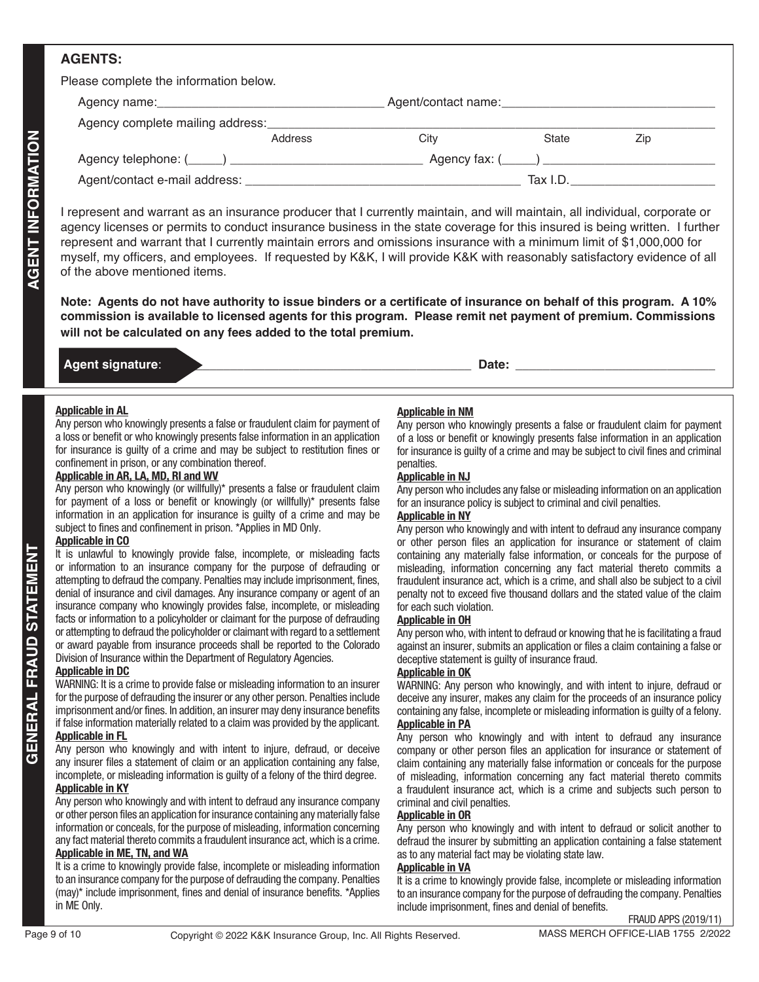## **AGENTS:**

Please complete the information below.

| $\frac{1}{2}$                                    |         |                     |          |     |  |
|--------------------------------------------------|---------|---------------------|----------|-----|--|
|                                                  |         | Agent/contact name: |          |     |  |
| Agency complete mailing address:                 |         |                     |          |     |  |
|                                                  | Address | Citv                | State    | Zip |  |
| Agency telephone: (_____) ______________________ |         |                     |          |     |  |
| Agent/contact e-mail address:                    |         |                     | Tax I.D. |     |  |

Page 1992 (Advertiser 1993 (Advertiser 1993) (Advertiser 1992) (Advertiser 1992) (Advertiser 1992) (Advertiser 1992) (Advertiser 1992) (Advertiser 1992) (Advertiser 1992) (Advertiser 1992) (Advertiser 1992) (Advertiser 19 I represent and warrant as an insurance producer that I currently maintain, and will maintain, all individual, corporate or agency licenses or permits to conduct insurance business in the state coverage for this insured is being written. I further represent and warrant that I currently maintain errors and omissions insurance with a minimum limit of \$1,000,000 for myself, my officers, and employees. If requested by K&K, I will provide K&K with reasonably satisfactory evidence of all of the above mentioned items.

**Note: Agents do not have authority to issue binders or a certificate of insurance on behalf of this program. A 10% commission is available to licensed agents for this program. Please remit net payment of premium. Commissions will not be calculated on any fees added to the total premium.**

## **Agent signature**: \_\_\_\_\_\_\_\_\_\_\_\_\_\_\_\_\_\_\_\_\_\_\_\_\_\_\_\_\_\_\_\_\_\_\_\_\_\_\_\_\_\_\_\_ **Date:** \_\_\_\_\_\_\_\_\_\_\_\_\_\_\_\_\_\_\_\_\_\_\_\_\_\_\_\_\_

**Applicable in AL**

Any person who knowingly presents a false or fraudulent claim for payment of a loss or benefit or who knowingly presents false information in an application for insurance is guilty of a crime and may be subject to restitution fines or confinement in prison, or any combination thereof.

#### **Applicable in AR, LA, MD, RI and WV**

Any person who knowingly (or willfully)\* presents a false or fraudulent claim for payment of a loss or benefit or knowingly (or willfully)\* presents false information in an application for insurance is guilty of a crime and may be subject to fines and confinement in prison. \*Applies in MD Only.

#### **Applicable in CO**

It is unlawful to knowingly provide false, incomplete, or misleading facts or information to an insurance company for the purpose of defrauding or attempting to defraud the company. Penalties may include imprisonment, fines, denial of insurance and civil damages. Any insurance company or agent of an insurance company who knowingly provides false, incomplete, or misleading facts or information to a policyholder or claimant for the purpose of defrauding or attempting to defraud the policyholder or claimant with regard to a settlement or award payable from insurance proceeds shall be reported to the Colorado Division of Insurance within the Department of Regulatory Agencies.

#### **Applicable in DC**

**GENERAL FRAUD STATEMENT**

WARNING: It is a crime to provide false or misleading information to an insurer for the purpose of defrauding the insurer or any other person. Penalties include imprisonment and/or fines. In addition, an insurer may deny insurance benefits if false information materially related to a claim was provided by the applicant. **Applicable in FL**

Any person who knowingly and with intent to injure, defraud, or deceive any insurer files a statement of claim or an application containing any false, incomplete, or misleading information is guilty of a felony of the third degree. **Applicable in KY**

Any person who knowingly and with intent to defraud any insurance company or other person files an application for insurance containing any materially false information or conceals, for the purpose of misleading, information concerning any fact material thereto commits a fraudulent insurance act, which is a crime. **Applicable in ME, TN, and WA**

#### It is a crime to knowingly provide false, incomplete or misleading information to an insurance company for the purpose of defrauding the company. Penalties (may)\* include imprisonment, fines and denial of insurance benefits. \*Applies in ME Only.

### **Applicable in NM**

Any person who knowingly presents a false or fraudulent claim for payment of a loss or benefit or knowingly presents false information in an application for insurance is guilty of a crime and may be subject to civil fines and criminal penalties.

#### **Applicable in NJ**

Any person who includes any false or misleading information on an application for an insurance policy is subject to criminal and civil penalties.

#### **Applicable in NY**

Any person who knowingly and with intent to defraud any insurance company or other person files an application for insurance or statement of claim containing any materially false information, or conceals for the purpose of misleading, information concerning any fact material thereto commits a fraudulent insurance act, which is a crime, and shall also be subject to a civil penalty not to exceed five thousand dollars and the stated value of the claim for each such violation.

#### **Applicable in OH**

Any person who, with intent to defraud or knowing that he is facilitating a fraud against an insurer, submits an application or files a claim containing a false or deceptive statement is guilty of insurance fraud.

#### **Applicable in OK**

WARNING: Any person who knowingly, and with intent to injure, defraud or deceive any insurer, makes any claim for the proceeds of an insurance policy containing any false, incomplete or misleading information is guilty of a felony.

## **Applicable in PA**

Any person who knowingly and with intent to defraud any insurance company or other person files an application for insurance or statement of claim containing any materially false information or conceals for the purpose of misleading, information concerning any fact material thereto commits a fraudulent insurance act, which is a crime and subjects such person to criminal and civil penalties.

#### **Applicable in OR**

Any person who knowingly and with intent to defraud or solicit another to defraud the insurer by submitting an application containing a false statement as to any material fact may be violating state law.

#### **Applicable in VA**

It is a crime to knowingly provide false, incomplete or misleading information to an insurance company for the purpose of defrauding the company. Penalties include imprisonment, fines and denial of benefits.